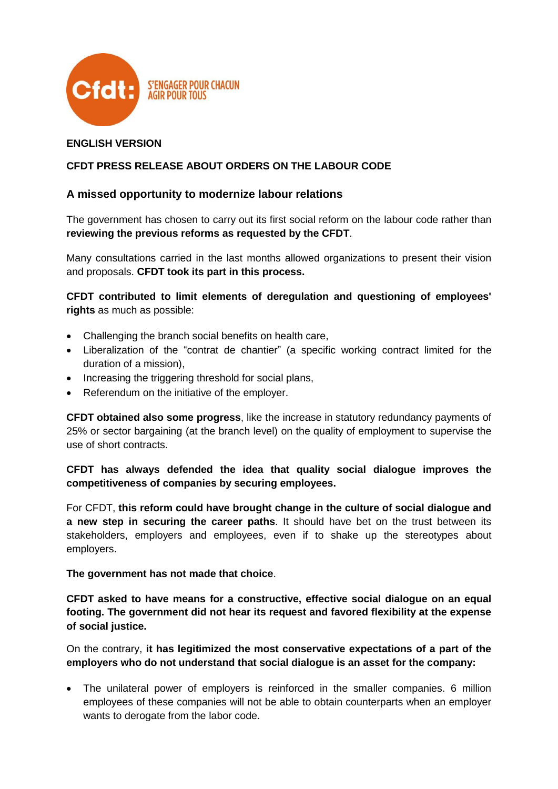

# **ENGLISH VERSION**

# **CFDT PRESS RELEASE ABOUT ORDERS ON THE LABOUR CODE**

# **A missed opportunity to modernize labour relations**

The government has chosen to carry out its first social reform on the labour code rather than **reviewing the previous reforms as requested by the CFDT**.

Many consultations carried in the last months allowed organizations to present their vision and proposals. **CFDT took its part in this process.**

**CFDT contributed to limit elements of deregulation and questioning of employees' rights** as much as possible:

- Challenging the branch social benefits on health care,
- Liberalization of the "contrat de chantier" (a specific working contract limited for the duration of a mission),
- Increasing the triggering threshold for social plans,
- Referendum on the initiative of the employer.

**CFDT obtained also some progress**, like the increase in statutory redundancy payments of 25% or sector bargaining (at the branch level) on the quality of employment to supervise the use of short contracts.

## **CFDT has always defended the idea that quality social dialogue improves the competitiveness of companies by securing employees.**

For CFDT, **this reform could have brought change in the culture of social dialogue and a new step in securing the career paths**. It should have bet on the trust between its stakeholders, employers and employees, even if to shake up the stereotypes about employers.

**The government has not made that choice**.

**CFDT asked to have means for a constructive, effective social dialogue on an equal footing. The government did not hear its request and favored flexibility at the expense of social justice.**

On the contrary, **it has legitimized the most conservative expectations of a part of the employers who do not understand that social dialogue is an asset for the company:**

 The unilateral power of employers is reinforced in the smaller companies. 6 million employees of these companies will not be able to obtain counterparts when an employer wants to derogate from the labor code.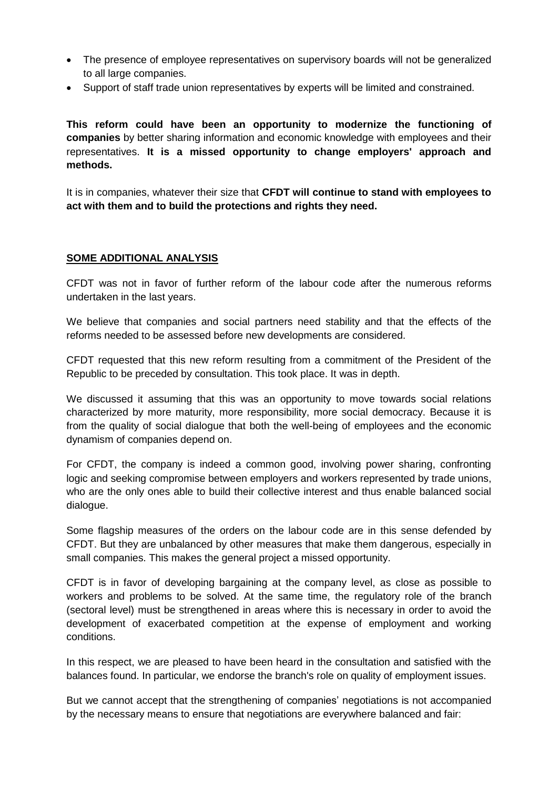- The presence of employee representatives on supervisory boards will not be generalized to all large companies.
- Support of staff trade union representatives by experts will be limited and constrained.

**This reform could have been an opportunity to modernize the functioning of companies** by better sharing information and economic knowledge with employees and their representatives. **It is a missed opportunity to change employers' approach and methods.**

It is in companies, whatever their size that **CFDT will continue to stand with employees to act with them and to build the protections and rights they need.**

#### **SOME ADDITIONAL ANALYSIS**

CFDT was not in favor of further reform of the labour code after the numerous reforms undertaken in the last years.

We believe that companies and social partners need stability and that the effects of the reforms needed to be assessed before new developments are considered.

CFDT requested that this new reform resulting from a commitment of the President of the Republic to be preceded by consultation. This took place. It was in depth.

We discussed it assuming that this was an opportunity to move towards social relations characterized by more maturity, more responsibility, more social democracy. Because it is from the quality of social dialogue that both the well-being of employees and the economic dynamism of companies depend on.

For CFDT, the company is indeed a common good, involving power sharing, confronting logic and seeking compromise between employers and workers represented by trade unions, who are the only ones able to build their collective interest and thus enable balanced social dialogue.

Some flagship measures of the orders on the labour code are in this sense defended by CFDT. But they are unbalanced by other measures that make them dangerous, especially in small companies. This makes the general project a missed opportunity.

CFDT is in favor of developing bargaining at the company level, as close as possible to workers and problems to be solved. At the same time, the regulatory role of the branch (sectoral level) must be strengthened in areas where this is necessary in order to avoid the development of exacerbated competition at the expense of employment and working conditions.

In this respect, we are pleased to have been heard in the consultation and satisfied with the balances found. In particular, we endorse the branch's role on quality of employment issues.

But we cannot accept that the strengthening of companies' negotiations is not accompanied by the necessary means to ensure that negotiations are everywhere balanced and fair: